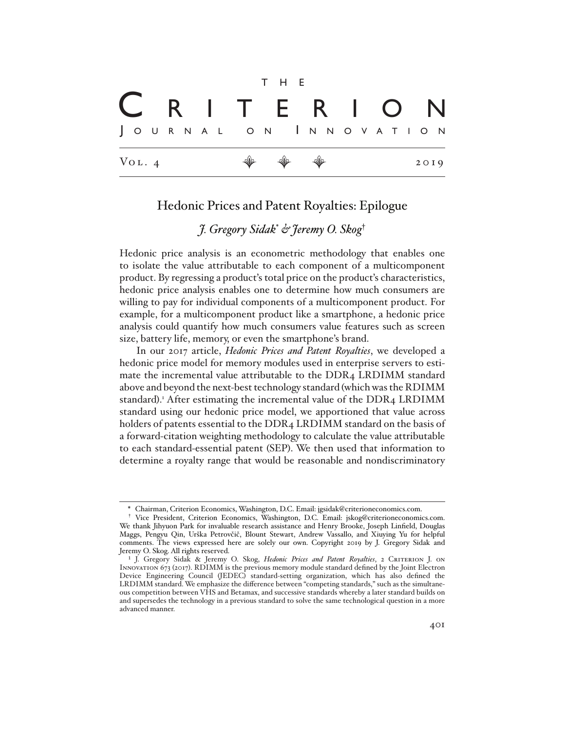$$
\begin{array}{c}\n\mathbf{C} & \mathbf{R} & \mathbf{I} & \mathbf{T} & \mathbf{F} & \mathbf{R} & \mathbf{I} & \mathbf{O} & \mathbf{N} \\
\hline\n\mathbf{J} & \mathbf{O} & \mathbf{U} & \mathbf{R} & \mathbf{N} & \mathbf{I} & \mathbf{N} & \mathbf{N} \\
\hline\n\mathbf{V} & \mathbf{O} & \mathbf{I} & \mathbf{I} & \mathbf{N} & \mathbf{I} & \mathbf{I} & \mathbf{I} & \mathbf{I} & \mathbf{I} \\
\hline\n\mathbf{V} & \mathbf{O} & \mathbf{I} & \mathbf{I} & \mathbf{I} & \mathbf{I} & \mathbf{I} & \mathbf{I} & \mathbf{I} & \mathbf{I} \\
\hline\n\mathbf{V} & \mathbf{O} & \mathbf{I} & \mathbf{I} & \mathbf{I} & \mathbf{I} & \mathbf{I} & \mathbf{I} & \mathbf{I} & \mathbf{I} \\
\hline\n\mathbf{V} & \mathbf{O} & \mathbf{I} & \mathbf{I} & \mathbf{I} & \mathbf{I} & \mathbf{I} & \mathbf{I} & \mathbf{I} \\
\hline\n\mathbf{V} & \mathbf{O} & \mathbf{I} & \mathbf{I} & \mathbf{I} & \mathbf{I} & \mathbf{I} & \mathbf{I} & \mathbf{I} \\
\hline\n\mathbf{V} & \mathbf{O} & \mathbf{I} & \mathbf{I} & \mathbf{I} & \mathbf{I} & \mathbf{I} & \mathbf{I} \\
\hline\n\mathbf{V} & \mathbf{O} & \mathbf{I} & \mathbf{I} & \mathbf{I} & \mathbf{I} & \mathbf{I} \\
\hline\n\mathbf{V} & \mathbf{O}
$$

## Hedonic Prices and Patent Royalties: Epilogue

# *J. Gregory Sidak*\*  *& Jeremy O. Skog*†

Hedonic price analysis is an econometric methodology that enables one to isolate the value attributable to each component of a multicomponent product. By regressing a product's total price on the product's characteristics, hedonic price analysis enables one to determine how much consumers are willing to pay for individual components of a multicomponent product. For example, for a multicomponent product like a smartphone, a hedonic price analysis could quantify how much consumers value features such as screen size, battery life, memory, or even the smartphone's brand.

In our 2017 article, *Hedonic Prices and Patent Royalties*, we developed a hedonic price model for memory modules used in enterprise servers to estimate the incremental value attributable to the DDR4 LRDIMM standard above and beyond the next-best technology standard (which was the RDIMM standard).<sup>1</sup> After estimating the incremental value of the DDR4 LRDIMM standard using our hedonic price model, we apportioned that value across holders of patents essential to the DDR4 LRDIMM standard on the basis of a forward-citation weighting methodology to calculate the value attributable to each standard-essential patent (SEP). We then used that information to determine a royalty range that would be reasonable and nondiscriminatory

<sup>\*</sup> Chairman, Criterion Economics, Washington, D.C. Email: jgsidak@criterioneconomics.com.

<sup>†</sup> Vice President, Criterion Economics, Washington, D.C. Email: jskog@criterioneconomics.com. We thank Jihyuon Park for invaluable research assistance and Henry Brooke, Joseph Linfield, Douglas Maggs, Pengyu Qin, Urška Petrovčič, Blount Stewart, Andrew Vassallo, and Xiuying Yu for helpful comments. The views expressed here are solely our own. Copyright 2019 by J. Gregory Sidak and Jeremy O. Skog. All rights reserved.

<sup>&</sup>lt;sup>1</sup> J. Gregory Sidak & Jeremy O. Skog, *Hedonic Prices and Patent Royalties*, 2 CRITERION J. ON Innovation 673 (2017). RDIMM is the previous memory module standard defined by the Joint Electron Device Engineering Council (JEDEC) standard-setting organization, which has also defined the LRDIMM standard. We emphasize the difference between "competing standards," such as the simultaneous competition between VHS and Betamax, and successive standards whereby a later standard builds on and supersedes the technology in a previous standard to solve the same technological question in a more advanced manner.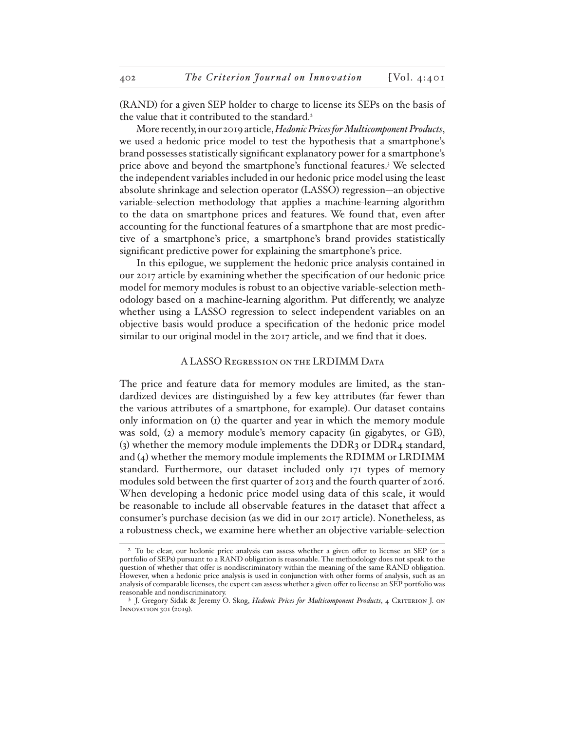(RAND) for a given SEP holder to charge to license its SEPs on the basis of the value that it contributed to the standard.<sup>2</sup>

More recently, in our 2019 article, *Hedonic Prices for Multicomponent Products*, we used a hedonic price model to test the hypothesis that a smartphone's brand possesses statistically significant explanatory power for a smartphone's price above and beyond the smartphone's functional features.3 We selected the independent variables included in our hedonic price model using the least absolute shrinkage and selection operator (LASSO) regression—an objective variable-selection methodology that applies a machine-learning algorithm to the data on smartphone prices and features. We found that, even after accounting for the functional features of a smartphone that are most predictive of a smartphone's price, a smartphone's brand provides statistically significant predictive power for explaining the smartphone's price.

In this epilogue, we supplement the hedonic price analysis contained in our 2017 article by examining whether the specification of our hedonic price model for memory modules is robust to an objective variable-selection methodology based on a machine-learning algorithm. Put differently, we analyze whether using a LASSO regression to select independent variables on an objective basis would produce a specification of the hedonic price model similar to our original model in the 2017 article, and we find that it does.

### A LASSO Regression on the LRDIMM Data

The price and feature data for memory modules are limited, as the standardized devices are distinguished by a few key attributes (far fewer than the various attributes of a smartphone, for example). Our dataset contains only information on (1) the quarter and year in which the memory module was sold, (2) a memory module's memory capacity (in gigabytes, or GB), (3) whether the memory module implements the DDR3 or DDR4 standard, and (4) whether the memory module implements the RDIMM or LRDIMM standard. Furthermore, our dataset included only 171 types of memory modules sold between the first quarter of 2013 and the fourth quarter of 2016. When developing a hedonic price model using data of this scale, it would be reasonable to include all observable features in the dataset that affect a consumer's purchase decision (as we did in our 2017 article). Nonetheless, as a robustness check, we examine here whether an objective variable-selection

<sup>&</sup>lt;sup>2</sup> To be clear, our hedonic price analysis can assess whether a given offer to license an SEP (or a portfolio of SEPs) pursuant to a RAND obligation is reasonable. The methodology does not speak to the question of whether that offer is nondiscriminatory within the meaning of the same RAND obligation. However, when a hedonic price analysis is used in conjunction with other forms of analysis, such as an analysis of comparable licenses, the expert can assess whether a given offer to license an SEP portfolio was reasonable and nondiscriminatory.

<sup>&</sup>lt;sup>3</sup> J. Gregory Sidak & Jeremy O. Skog, *Hedonic Prices for Multicomponent Products*, 4 CRITERION J. ON Innovation 301 (2019).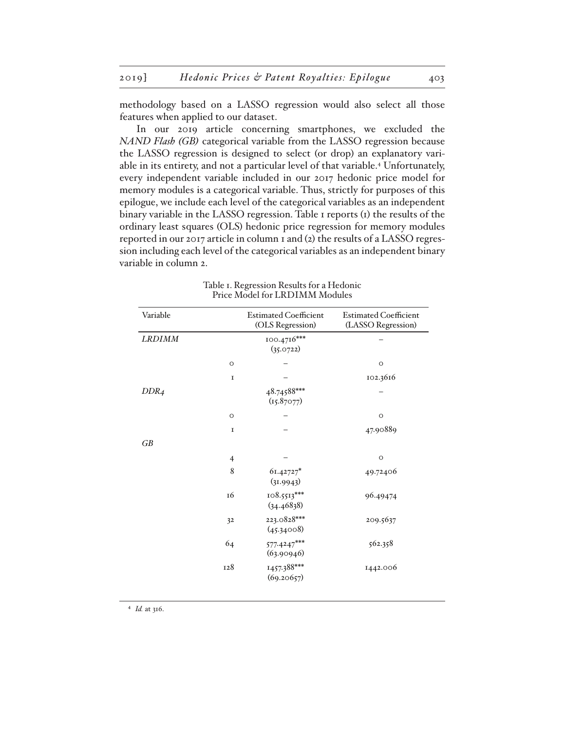methodology based on a LASSO regression would also select all those features when applied to our dataset.

In our 2019 article concerning smartphones, we excluded the *NAND Flash (GB)* categorical variable from the LASSO regression because the LASSO regression is designed to select (or drop) an explanatory variable in its entirety, and not a particular level of that variable.4 Unfortunately, every independent variable included in our 2017 hedonic price model for memory modules is a categorical variable. Thus, strictly for purposes of this epilogue, we include each level of the categorical variables as an independent binary variable in the LASSO regression. Table 1 reports (1) the results of the ordinary least squares (OLS) hedonic price regression for memory modules reported in our 2017 article in column 1 and (2) the results of a LASSO regression including each level of the categorical variables as an independent binary variable in column 2.

| Variable         |                | <b>Estimated Coefficient</b><br>(OLS Regression) | <b>Estimated Coefficient</b><br>(LASSO Regression) |
|------------------|----------------|--------------------------------------------------|----------------------------------------------------|
| <b>LRDIMM</b>    |                | 100.4716***<br>(35.0722)                         |                                                    |
|                  | $\circ$        |                                                  | $\circ$                                            |
|                  | $\mathbf I$    |                                                  | 102.3616                                           |
| DDR <sub>4</sub> |                | 48.74588***<br>(I5.87077)                        |                                                    |
|                  | $\circ$        |                                                  | $\circ$                                            |
|                  | $\mathbf I$    |                                                  | 47.90889                                           |
| GB               |                |                                                  |                                                    |
|                  | $\overline{4}$ |                                                  | $\circ$                                            |
|                  | 8              | 61.42727*<br>(31.9943)                           | 49.72406                                           |
|                  | 16             | $108.5513***$<br>(34.46838)                      | 96.49474                                           |
|                  | 32             | 223.0828***<br>(45.34008)                        | 209.5637                                           |
|                  | 64             | $577.4247***$<br>(63.90946)                      | 562.358                                            |
|                  | 128            | 1457.388***<br>(69.20657)                        | 1442.006                                           |

Table 1. Regression Results for a Hedonic Price Model for LRDIMM Modules

4 *Id.* at 316.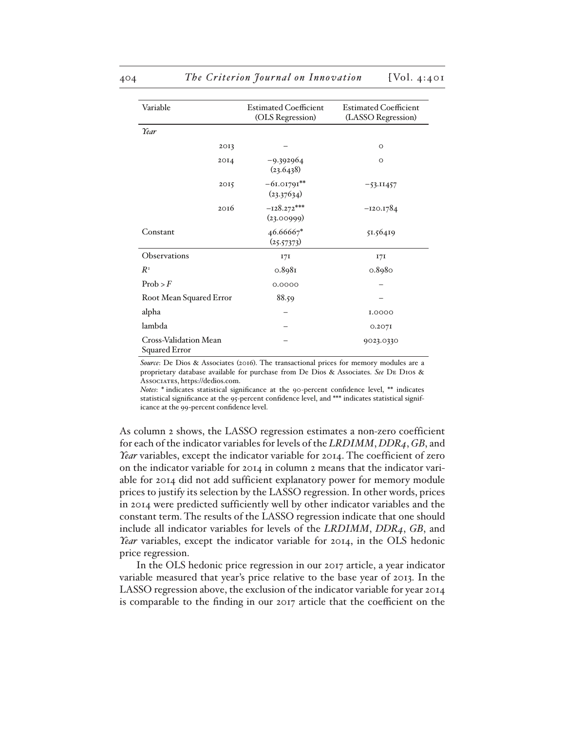| Variable                                      | <b>Estimated Coefficient</b><br>(OLS Regression) | <b>Estimated Coefficient</b><br>(LASSO Regression) |
|-----------------------------------------------|--------------------------------------------------|----------------------------------------------------|
| Year                                          |                                                  |                                                    |
| 2013                                          |                                                  | $\circ$                                            |
| 20I4                                          | -9.392964<br>(23.6438)                           | $\circ$                                            |
| 2015                                          | $-61.01791**$<br>(23.37634)                      | $-53.11457$                                        |
| 2016                                          | $-128.272***$<br>(23.00999)                      | $-120.1784$                                        |
| Constant                                      | 46.66667*<br>(25.57373)                          | 51.56419                                           |
| Observations                                  | 17I                                              | 17I                                                |
| $R^2$                                         | 0.8981                                           | 0.8980                                             |
| Prob > F                                      | 0.0000                                           |                                                    |
| Root Mean Squared Error                       | 88.59                                            |                                                    |
| alpha                                         |                                                  | I.0000                                             |
| lambda                                        |                                                  | 0.207I                                             |
| Cross-Validation Mean<br><b>Squared Error</b> |                                                  | 9023.0330                                          |

*Source*: De Dios & Associates (2016). The transactional prices for memory modules are a proprietary database available for purchase from De Dios & Associates. *See* De Dios & Associates, https://dedios.com.

*Notes*: \* indicates statistical significance at the 90-percent confidence level, \*\* indicates statistical significance at the 95-percent confidence level, and \*\*\* indicates statistical significance at the 99-percent confidence level.

As column 2 shows, the LASSO regression estimates a non-zero coefficient for each of the indicator variables for levels of the *LRDIMM*, *DDR4*, *GB*, and *Year* variables, except the indicator variable for 2014. The coefficient of zero on the indicator variable for 2014 in column 2 means that the indicator variable for 2014 did not add sufficient explanatory power for memory module prices to justify its selection by the LASSO regression. In other words, prices in 2014 were predicted sufficiently well by other indicator variables and the constant term. The results of the LASSO regression indicate that one should include all indicator variables for levels of the *LRDIMM*, *DDR4*, *GB*, and *Year* variables, except the indicator variable for 2014, in the OLS hedonic price regression.

In the OLS hedonic price regression in our 2017 article, a year indicator variable measured that year's price relative to the base year of 2013. In the LASSO regression above, the exclusion of the indicator variable for year 2014 is comparable to the finding in our 2017 article that the coefficient on the

#### 404 *The Criterion Journal on Innovation* [Vol. 4:401